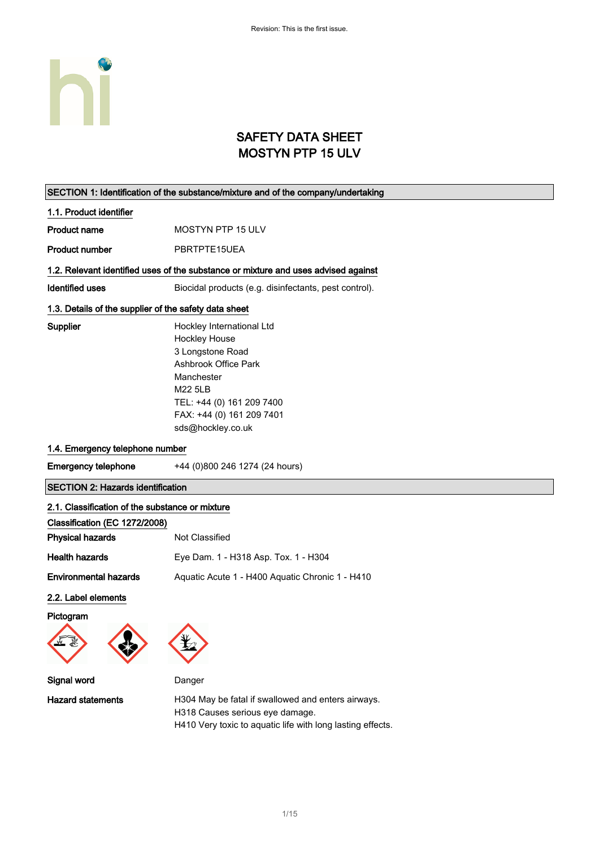

### SAFETY DATA SHEET MOSTYN PTP 15 ULV

|                                                                                  | SECTION 1: Identification of the substance/mixture and of the company/undertaking                                                                                                                            |
|----------------------------------------------------------------------------------|--------------------------------------------------------------------------------------------------------------------------------------------------------------------------------------------------------------|
| 1.1. Product identifier                                                          |                                                                                                                                                                                                              |
| <b>Product name</b>                                                              | MOSTYN PTP 15 ULV                                                                                                                                                                                            |
| <b>Product number</b>                                                            | PBRTPTE15UEA                                                                                                                                                                                                 |
|                                                                                  | 1.2. Relevant identified uses of the substance or mixture and uses advised against                                                                                                                           |
| <b>Identified uses</b>                                                           | Biocidal products (e.g. disinfectants, pest control).                                                                                                                                                        |
| 1.3. Details of the supplier of the safety data sheet                            |                                                                                                                                                                                                              |
| Supplier                                                                         | Hockley International Ltd<br><b>Hockley House</b><br>3 Longstone Road<br><b>Ashbrook Office Park</b><br>Manchester<br>M22 5LB<br>TEL: +44 (0) 161 209 7400<br>FAX: +44 (0) 161 209 7401<br>sds@hockley.co.uk |
| 1.4. Emergency telephone number                                                  |                                                                                                                                                                                                              |
| <b>Emergency telephone</b>                                                       | +44 (0)800 246 1274 (24 hours)                                                                                                                                                                               |
| <b>SECTION 2: Hazards identification</b>                                         |                                                                                                                                                                                                              |
| 2.1. Classification of the substance or mixture<br>Classification (EC 1272/2008) |                                                                                                                                                                                                              |
| <b>Physical hazards</b>                                                          | Not Classified                                                                                                                                                                                               |
| <b>Health hazards</b>                                                            | Eye Dam. 1 - H318 Asp. Tox. 1 - H304                                                                                                                                                                         |
| <b>Environmental hazards</b>                                                     | Aquatic Acute 1 - H400 Aquatic Chronic 1 - H410                                                                                                                                                              |
| 2.2. Label elements<br>Pictogram                                                 | $\mathbf{v}$                                                                                                                                                                                                 |
| Signal word                                                                      | Danger                                                                                                                                                                                                       |
| <b>Hazard statements</b>                                                         | H304 May be fatal if swallowed and enters airways.<br>H318 Causes serious eye damage.                                                                                                                        |

H410 Very toxic to aquatic life with long lasting effects.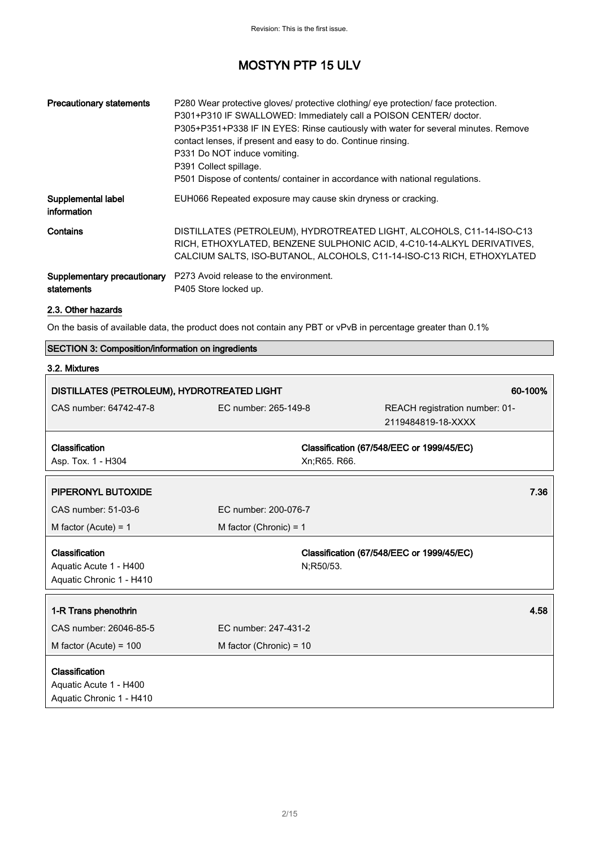| <b>Precautionary statements</b>           | P280 Wear protective gloves/ protective clothing/ eye protection/ face protection.<br>P301+P310 IF SWALLOWED: Immediately call a POISON CENTER/ doctor.<br>P305+P351+P338 IF IN EYES: Rinse cautiously with water for several minutes. Remove<br>contact lenses, if present and easy to do. Continue rinsing.<br>P331 Do NOT induce vomiting.<br>P391 Collect spillage.<br>P501 Dispose of contents/ container in accordance with national regulations. |
|-------------------------------------------|---------------------------------------------------------------------------------------------------------------------------------------------------------------------------------------------------------------------------------------------------------------------------------------------------------------------------------------------------------------------------------------------------------------------------------------------------------|
| Supplemental label<br>information         | EUH066 Repeated exposure may cause skin dryness or cracking.                                                                                                                                                                                                                                                                                                                                                                                            |
| Contains                                  | DISTILLATES (PETROLEUM), HYDROTREATED LIGHT, ALCOHOLS, C11-14-ISO-C13<br>RICH, ETHOXYLATED, BENZENE SULPHONIC ACID, 4-C10-14-ALKYL DERIVATIVES,<br>CALCIUM SALTS, ISO-BUTANOL, ALCOHOLS, C11-14-ISO-C13 RICH, ETHOXYLATED                                                                                                                                                                                                                               |
| Supplementary precautionary<br>statements | P273 Avoid release to the environment.<br>P405 Store locked up.                                                                                                                                                                                                                                                                                                                                                                                         |

#### 2.3. Other hazards

On the basis of available data, the product does not contain any PBT or vPvB in percentage greater than 0.1%

| SECTION 3: Composition/information on ingredients                    |                                                        |               |                                                      |  |
|----------------------------------------------------------------------|--------------------------------------------------------|---------------|------------------------------------------------------|--|
| 3.2. Mixtures                                                        |                                                        |               |                                                      |  |
|                                                                      | 60-100%<br>DISTILLATES (PETROLEUM), HYDROTREATED LIGHT |               |                                                      |  |
| CAS number: 64742-47-8                                               | EC number: 265-149-8                                   |               | REACH registration number: 01-<br>2119484819-18-XXXX |  |
| Classification<br>Asp. Tox. 1 - H304                                 |                                                        | Xn; R65. R66. | Classification (67/548/EEC or 1999/45/EC)            |  |
| PIPERONYL BUTOXIDE                                                   |                                                        |               | 7.36                                                 |  |
| CAS number: 51-03-6                                                  | EC number: 200-076-7                                   |               |                                                      |  |
| M factor (Acute) = $1$                                               | M factor (Chronic) = $1$                               |               |                                                      |  |
| Classification<br>Aquatic Acute 1 - H400<br>Aquatic Chronic 1 - H410 |                                                        | N;R50/53.     | Classification (67/548/EEC or 1999/45/EC)            |  |
| 1-R Trans phenothrin                                                 |                                                        |               | 4.58                                                 |  |
| CAS number: 26046-85-5                                               | EC number: 247-431-2                                   |               |                                                      |  |
| M factor (Acute) = $100$                                             | M factor (Chronic) = $10$                              |               |                                                      |  |
| Classification<br>Aquatic Acute 1 - H400<br>Aquatic Chronic 1 - H410 |                                                        |               |                                                      |  |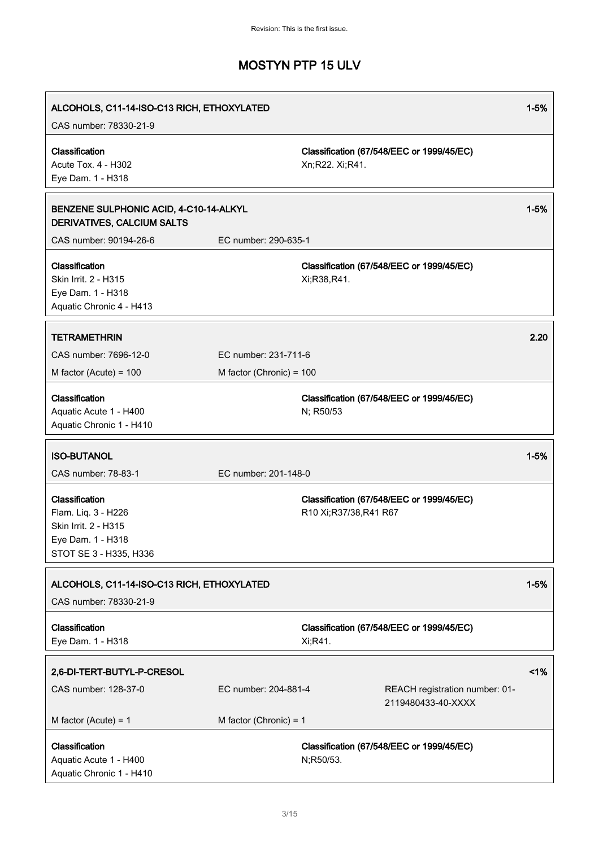| ALCOHOLS, C11-14-ISO-C13 RICH, ETHOXYLATED<br>CAS number: 78330-21-9                                         |                          |                                                                    | $1 - 5%$ |
|--------------------------------------------------------------------------------------------------------------|--------------------------|--------------------------------------------------------------------|----------|
| Classification<br>Acute Tox. 4 - H302<br>Eye Dam. 1 - H318                                                   |                          | Classification (67/548/EEC or 1999/45/EC)<br>Xn;R22. Xi;R41.       |          |
| BENZENE SULPHONIC ACID, 4-C10-14-ALKYL<br>DERIVATIVES, CALCIUM SALTS                                         |                          |                                                                    | $1 - 5%$ |
| CAS number: 90194-26-6                                                                                       | EC number: 290-635-1     |                                                                    |          |
| Classification<br>Skin Irrit. 2 - H315<br>Eye Dam. 1 - H318<br>Aquatic Chronic 4 - H413                      |                          | Classification (67/548/EEC or 1999/45/EC)<br>Xi;R38,R41.           |          |
| <b>TETRAMETHRIN</b>                                                                                          |                          |                                                                    | 2.20     |
| CAS number: 7696-12-0                                                                                        | EC number: 231-711-6     |                                                                    |          |
| M factor (Acute) = $100$                                                                                     | M factor (Chronic) = 100 |                                                                    |          |
| Classification                                                                                               |                          | Classification (67/548/EEC or 1999/45/EC)                          |          |
| Aquatic Acute 1 - H400                                                                                       |                          | N; R50/53                                                          |          |
| Aquatic Chronic 1 - H410                                                                                     |                          |                                                                    |          |
| <b>ISO-BUTANOL</b>                                                                                           |                          |                                                                    | $1 - 5%$ |
| CAS number: 78-83-1                                                                                          | EC number: 201-148-0     |                                                                    |          |
| Classification<br>Flam. Liq. 3 - H226<br>Skin Irrit. 2 - H315<br>Eye Dam. 1 - H318<br>STOT SE 3 - H335, H336 |                          | Classification (67/548/EEC or 1999/45/EC)<br>R10 Xi;R37/38,R41 R67 |          |
| ALCOHOLS, C11-14-ISO-C13 RICH, ETHOXYLATED<br>CAS number: 78330-21-9                                         |                          |                                                                    | $1 - 5%$ |
| Classification<br>Eye Dam. 1 - H318                                                                          |                          | Classification (67/548/EEC or 1999/45/EC)<br>Xi;R41.               |          |
| 2,6-DI-TERT-BUTYL-P-CRESOL                                                                                   |                          |                                                                    | 1%       |
| CAS number: 128-37-0                                                                                         | EC number: 204-881-4     | REACH registration number: 01-                                     |          |
|                                                                                                              |                          | 2119480433-40-XXXX                                                 |          |
| M factor (Acute) = $1$                                                                                       | M factor (Chronic) = $1$ |                                                                    |          |
| Classification<br>Aquatic Acute 1 - H400<br>Aquatic Chronic 1 - H410                                         |                          | Classification (67/548/EEC or 1999/45/EC)<br>N;R50/53.             |          |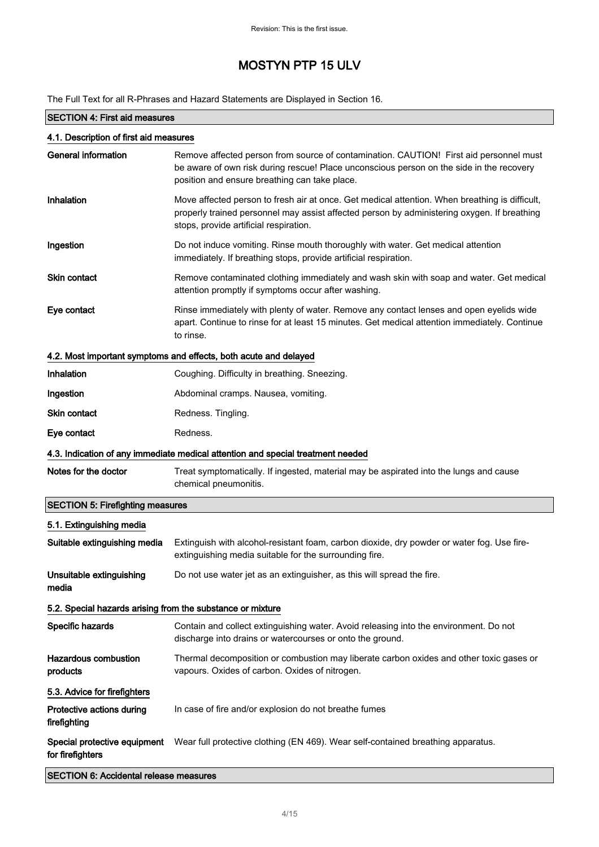The Full Text for all R-Phrases and Hazard Statements are Displayed in Section 16.

### SECTION 4: First aid measures 4.1. Description of first aid measures General information **Remove affected person from source of contamination. CAUTION!** First aid personnel must be aware of own risk during rescue! Place unconscious person on the side in the recovery position and ensure breathing can take place. Inhalation Move affected person to fresh air at once. Get medical attention. When breathing is difficult, properly trained personnel may assist affected person by administering oxygen. If breathing stops, provide artificial respiration. **Ingestion Do not induce vomiting. Rinse mouth thoroughly with water. Get medical attention** immediately. If breathing stops, provide artificial respiration. Skin contact **Remove contaminated clothing immediately and wash skin with soap and water. Get medical** attention promptly if symptoms occur after washing. Eye contact **Rinse immediately with plenty of water. Remove any contact lenses and open eyelids wide** apart. Continue to rinse for at least 15 minutes. Get medical attention immediately. Continue to rinse. 4.2. Most important symptoms and effects, both acute and delayed Inhalation **Coughing.** Difficulty in breathing. Sneezing. Ingestion **Abdominal cramps. Nausea, vomiting.** Skin contact Redness. Tingling. Eye contact Redness. 4.3. Indication of any immediate medical attention and special treatment needed Notes for the doctor Treat symptomatically. If ingested, material may be aspirated into the lungs and cause chemical pneumonitis. SECTION 5: Firefighting measures 5.1. Extinguishing media Suitable extinguishing media Extinguish with alcohol-resistant foam, carbon dioxide, dry powder or water fog. Use fireextinguishing media suitable for the surrounding fire. Unsuitable extinguishing media Do not use water jet as an extinguisher, as this will spread the fire. 5.2. Special hazards arising from the substance or mixture Specific hazards **Contain and collect extinguishing water.** Avoid releasing into the environment. Do not discharge into drains or watercourses or onto the ground. Hazardous combustion products Thermal decomposition or combustion may liberate carbon oxides and other toxic gases or vapours. Oxides of carbon. Oxides of nitrogen. 5.3. Advice for firefighters Protective actions during firefighting In case of fire and/or explosion do not breathe fumes Special protective equipment for firefighters Wear full protective clothing (EN 469). Wear self-contained breathing apparatus.

SECTION 6: Accidental release measures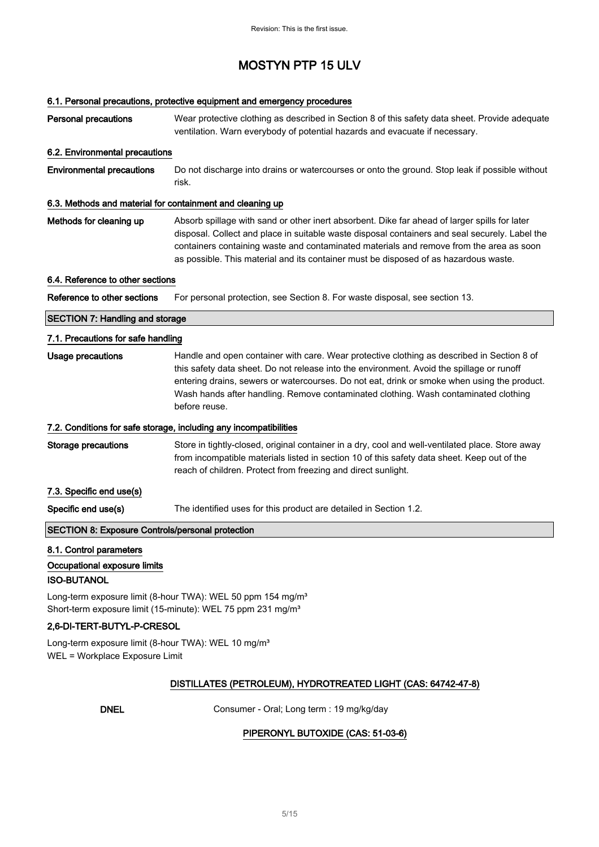### 6.1. Personal precautions, protective equipment and emergency procedures

| <b>Personal precautions</b>                                                                       | Wear protective clothing as described in Section 8 of this safety data sheet. Provide adequate<br>ventilation. Warn everybody of potential hazards and evacuate if necessary.                                                                                                                                                                                                                  |
|---------------------------------------------------------------------------------------------------|------------------------------------------------------------------------------------------------------------------------------------------------------------------------------------------------------------------------------------------------------------------------------------------------------------------------------------------------------------------------------------------------|
| 6.2. Environmental precautions                                                                    |                                                                                                                                                                                                                                                                                                                                                                                                |
| <b>Environmental precautions</b>                                                                  | Do not discharge into drains or watercourses or onto the ground. Stop leak if possible without<br>risk.                                                                                                                                                                                                                                                                                        |
| 6.3. Methods and material for containment and cleaning up                                         |                                                                                                                                                                                                                                                                                                                                                                                                |
| Methods for cleaning up                                                                           | Absorb spillage with sand or other inert absorbent. Dike far ahead of larger spills for later<br>disposal. Collect and place in suitable waste disposal containers and seal securely. Label the<br>containers containing waste and contaminated materials and remove from the area as soon<br>as possible. This material and its container must be disposed of as hazardous waste.             |
| 6.4. Reference to other sections                                                                  |                                                                                                                                                                                                                                                                                                                                                                                                |
| Reference to other sections                                                                       | For personal protection, see Section 8. For waste disposal, see section 13.                                                                                                                                                                                                                                                                                                                    |
| <b>SECTION 7: Handling and storage</b>                                                            |                                                                                                                                                                                                                                                                                                                                                                                                |
| 7.1. Precautions for safe handling                                                                |                                                                                                                                                                                                                                                                                                                                                                                                |
| <b>Usage precautions</b>                                                                          | Handle and open container with care. Wear protective clothing as described in Section 8 of<br>this safety data sheet. Do not release into the environment. Avoid the spillage or runoff<br>entering drains, sewers or watercourses. Do not eat, drink or smoke when using the product.<br>Wash hands after handling. Remove contaminated clothing. Wash contaminated clothing<br>before reuse. |
|                                                                                                   | 7.2. Conditions for safe storage, including any incompatibilities                                                                                                                                                                                                                                                                                                                              |
| <b>Storage precautions</b>                                                                        | Store in tightly-closed, original container in a dry, cool and well-ventilated place. Store away<br>from incompatible materials listed in section 10 of this safety data sheet. Keep out of the<br>reach of children. Protect from freezing and direct sunlight.                                                                                                                               |
| 7.3. Specific end use(s)                                                                          |                                                                                                                                                                                                                                                                                                                                                                                                |
| Specific end use(s)                                                                               | The identified uses for this product are detailed in Section 1.2.                                                                                                                                                                                                                                                                                                                              |
| <b>SECTION 8: Exposure Controls/personal protection</b>                                           |                                                                                                                                                                                                                                                                                                                                                                                                |
| 8.1. Control parameters                                                                           |                                                                                                                                                                                                                                                                                                                                                                                                |
| Occupational exposure limits<br><b>ISO-BUTANOL</b>                                                |                                                                                                                                                                                                                                                                                                                                                                                                |
|                                                                                                   | Long-term exposure limit (8-hour TWA): WEL 50 ppm 154 mg/m <sup>3</sup><br>Short-term exposure limit (15-minute): WEL 75 ppm 231 mg/m <sup>3</sup>                                                                                                                                                                                                                                             |
| 2,6-DI-TERT-BUTYL-P-CRESOL                                                                        |                                                                                                                                                                                                                                                                                                                                                                                                |
| Long-term exposure limit (8-hour TWA): WEL 10 mg/m <sup>3</sup><br>WEL = Workplace Exposure Limit |                                                                                                                                                                                                                                                                                                                                                                                                |
|                                                                                                   | DISTILLATES (PETROLEUM), HYDROTREATED LIGHT (CAS: 64742-47-8)                                                                                                                                                                                                                                                                                                                                  |
| <b>DAIEI</b>                                                                                      | Oral Langtown, 10 mallcalder                                                                                                                                                                                                                                                                                                                                                                   |

DNEL Consumer - Oral; Long term : 19 mg/kg/day

### PIPERONYL BUTOXIDE (CAS: 51-03-6)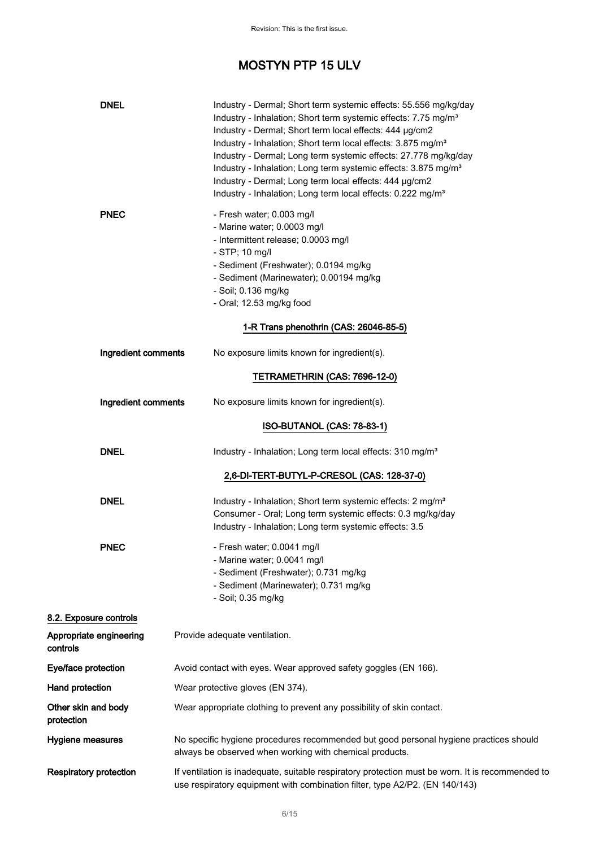| <b>DNEL</b>                         | Industry - Dermal; Short term systemic effects: 55.556 mg/kg/day<br>Industry - Inhalation; Short term systemic effects: 7.75 mg/m <sup>3</sup><br>Industry - Dermal; Short term local effects: 444 µg/cm2<br>Industry - Inhalation; Short term local effects: 3.875 mg/m <sup>3</sup><br>Industry - Dermal; Long term systemic effects: 27.778 mg/kg/day<br>Industry - Inhalation; Long term systemic effects: 3.875 mg/m <sup>3</sup><br>Industry - Dermal; Long term local effects: 444 µg/cm2<br>Industry - Inhalation; Long term local effects: 0.222 mg/m <sup>3</sup> |
|-------------------------------------|-----------------------------------------------------------------------------------------------------------------------------------------------------------------------------------------------------------------------------------------------------------------------------------------------------------------------------------------------------------------------------------------------------------------------------------------------------------------------------------------------------------------------------------------------------------------------------|
| <b>PNEC</b>                         | - Fresh water; 0.003 mg/l<br>- Marine water; 0.0003 mg/l<br>- Intermittent release; 0.0003 mg/l<br>$-$ STP; 10 mg/l<br>- Sediment (Freshwater); 0.0194 mg/kg<br>- Sediment (Marinewater); 0.00194 mg/kg<br>- Soil; 0.136 mg/kg<br>- Oral; 12.53 mg/kg food                                                                                                                                                                                                                                                                                                                  |
|                                     | 1-R Trans phenothrin (CAS: 26046-85-5)                                                                                                                                                                                                                                                                                                                                                                                                                                                                                                                                      |
| Ingredient comments                 | No exposure limits known for ingredient(s).                                                                                                                                                                                                                                                                                                                                                                                                                                                                                                                                 |
|                                     | TETRAMETHRIN (CAS: 7696-12-0)                                                                                                                                                                                                                                                                                                                                                                                                                                                                                                                                               |
| Ingredient comments                 | No exposure limits known for ingredient(s).                                                                                                                                                                                                                                                                                                                                                                                                                                                                                                                                 |
|                                     | ISO-BUTANOL (CAS: 78-83-1)                                                                                                                                                                                                                                                                                                                                                                                                                                                                                                                                                  |
| <b>DNEL</b>                         | Industry - Inhalation; Long term local effects: 310 mg/m <sup>3</sup>                                                                                                                                                                                                                                                                                                                                                                                                                                                                                                       |
|                                     | 2,6-DI-TERT-BUTYL-P-CRESOL (CAS: 128-37-0)                                                                                                                                                                                                                                                                                                                                                                                                                                                                                                                                  |
| <b>DNEL</b>                         | Industry - Inhalation; Short term systemic effects: 2 mg/m <sup>3</sup><br>Consumer - Oral; Long term systemic effects: 0.3 mg/kg/day<br>Industry - Inhalation; Long term systemic effects: 3.5                                                                                                                                                                                                                                                                                                                                                                             |
| <b>PNEC</b>                         | - Fresh water; 0.0041 mg/l<br>- Marine water; 0.0041 mg/l<br>- Sediment (Freshwater); 0.731 mg/kg<br>- Sediment (Marinewater); 0.731 mg/kg<br>- Soil; 0.35 mg/kg                                                                                                                                                                                                                                                                                                                                                                                                            |
| 8.2. Exposure controls              |                                                                                                                                                                                                                                                                                                                                                                                                                                                                                                                                                                             |
| Appropriate engineering<br>controls | Provide adequate ventilation.                                                                                                                                                                                                                                                                                                                                                                                                                                                                                                                                               |
| Eye/face protection                 | Avoid contact with eyes. Wear approved safety goggles (EN 166).                                                                                                                                                                                                                                                                                                                                                                                                                                                                                                             |
| Hand protection                     | Wear protective gloves (EN 374).                                                                                                                                                                                                                                                                                                                                                                                                                                                                                                                                            |
| Other skin and body<br>protection   | Wear appropriate clothing to prevent any possibility of skin contact.                                                                                                                                                                                                                                                                                                                                                                                                                                                                                                       |
| Hygiene measures                    | No specific hygiene procedures recommended but good personal hygiene practices should<br>always be observed when working with chemical products.                                                                                                                                                                                                                                                                                                                                                                                                                            |
| <b>Respiratory protection</b>       | If ventilation is inadequate, suitable respiratory protection must be worn. It is recommended to<br>use respiratory equipment with combination filter, type A2/P2. (EN 140/143)                                                                                                                                                                                                                                                                                                                                                                                             |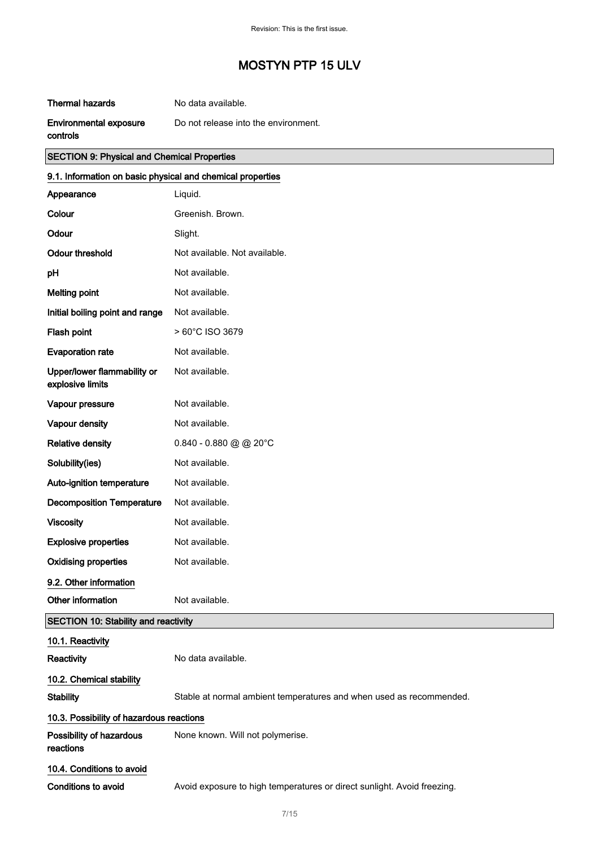#### **Thermal hazards** No data available.

#### Environmental exposure Do not release into the environment.

controls

# SECTION 9: Physical and Chemical Properties 9.1. Information on basic physical and chemical properties Appearance Liquid. Colour Greenish. Brown. Odour Slight. Odour threshold Not available. Not available. pH Not available. Melting point Not available. Initial boiling point and range Not available. Flash point  $> 60^{\circ}$ C ISO 3679 Evaporation rate Mot available. Upper/lower flammability or explosive limits Not available. Vapour pressure Not available. Vapour density **Not** available. Relative density 0.840 - 0.880 @ @ 20°C Solubility(ies) Not available. Auto-ignition temperature Not available. Decomposition Temperature Not available. Viscosity **Not available.** Explosive properties Not available. Oxidising properties Not available. 9.2. Other information Other information Not available. SECTION 10: Stability and reactivity

| 10.1. Reactivity                         |                                                                         |
|------------------------------------------|-------------------------------------------------------------------------|
| Reactivity                               | No data available.                                                      |
| 10.2. Chemical stability                 |                                                                         |
| Stabilitv                                | Stable at normal ambient temperatures and when used as recommended.     |
| 10.3. Possibility of hazardous reactions |                                                                         |
| Possibility of hazardous<br>reactions    | None known. Will not polymerise.                                        |
| 10.4. Conditions to avoid                |                                                                         |
| Conditions to avoid                      | Avoid exposure to high temperatures or direct sunlight. Avoid freezing. |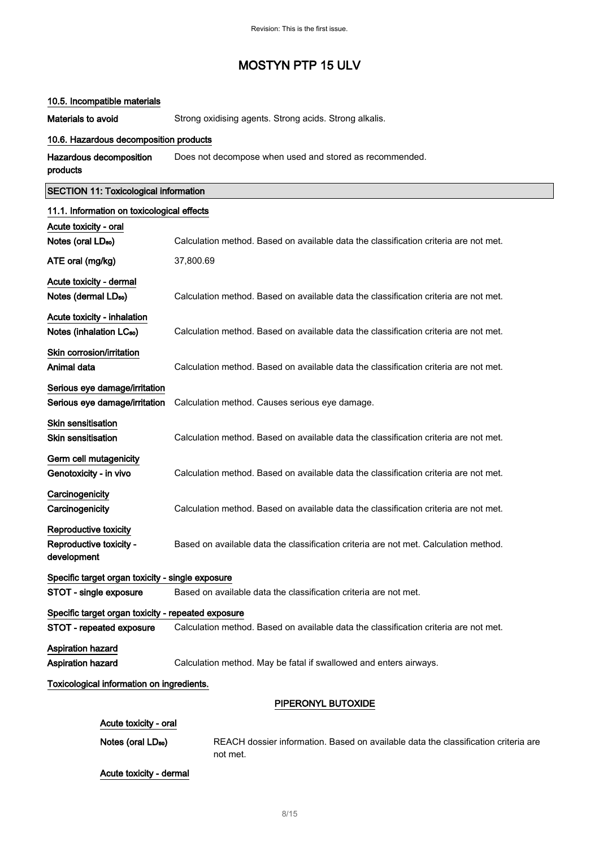#### 10.5. Incompatible materials

Materials to avoid Strong oxidising agents. Strong acids. Strong alkalis.

#### 10.6. Hazardous decomposition products

| Hazardous decomposition | Does not decompose when used and stored as recommended. |
|-------------------------|---------------------------------------------------------|
| products                |                                                         |

# SECTION 11: Toxicological information 11.1. Information on toxicological effects Acute toxicity - oral Notes (oral LD<sub>50</sub>) Calculation method. Based on available data the classification criteria are not met. ATE oral (mg/kg) 37,800.69 Acute toxicity - dermal Notes (dermal LD<sub>50</sub>) Calculation method. Based on available data the classification criteria are not met. Acute toxicity - inhalation Notes (inhalation LC<sub>50</sub>) Calculation method. Based on available data the classification criteria are not met. Skin corrosion/irritation Animal data **Calculation method.** Based on available data the classification criteria are not met. Serious eye damage/irritation Serious eye damage/irritation Calculation method. Causes serious eye damage. Skin sensitisation Skin sensitisation **Skinner Calculation method.** Based on available data the classification criteria are not met. Germ cell mutagenicity Genotoxicity - in vivo Calculation method. Based on available data the classification criteria are not met. **Carcinogenicity** Carcinogenicity Calculation method. Based on available data the classification criteria are not met. Reproductive toxicity Reproductive toxicity development Based on available data the classification criteria are not met. Calculation method. Specific target organ toxicity - single exposure STOT - single exposure Based on available data the classification criteria are not met. Specific target organ toxicity - repeated exposure STOT - repeated exposure Calculation method. Based on available data the classification criteria are not met. Aspiration hazard Aspiration hazard Calculation method. May be fatal if swallowed and enters airways. Toxicological information on ingredients. PIPERONYL BUTOXIDE

| Acute toxicity - oral          |                                                                                                |
|--------------------------------|------------------------------------------------------------------------------------------------|
| Notes (oral LD <sub>50</sub> ) | REACH dossier information. Based on available data the classification criteria are<br>not met. |
| Acute toxicity - dermal        |                                                                                                |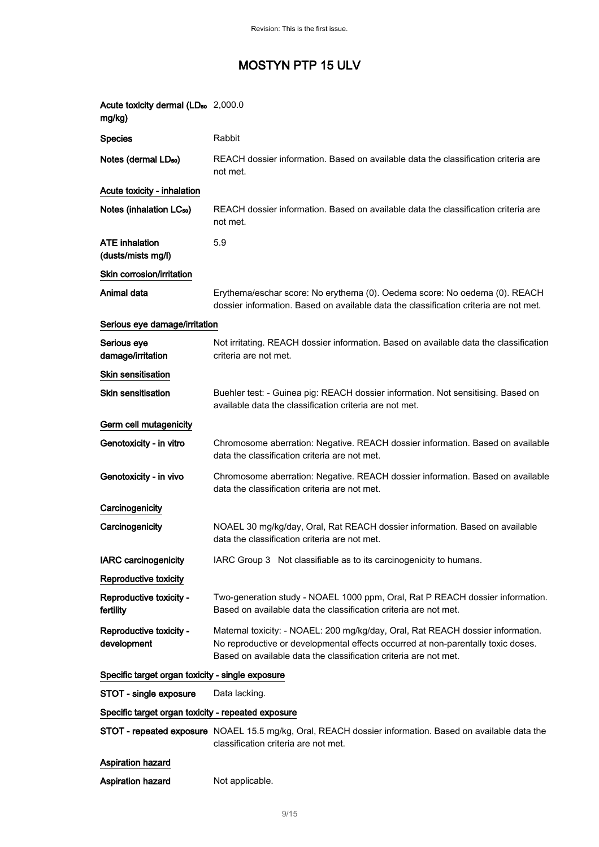| Acute toxicity dermal (LD <sub>50</sub> 2,000.0<br>mg/kg) |                                                                                                                                                                                                                                         |
|-----------------------------------------------------------|-----------------------------------------------------------------------------------------------------------------------------------------------------------------------------------------------------------------------------------------|
| <b>Species</b>                                            | <b>Rabbit</b>                                                                                                                                                                                                                           |
| Notes (dermal LD <sub>50</sub> )                          | REACH dossier information. Based on available data the classification criteria are<br>not met.                                                                                                                                          |
| Acute toxicity - inhalation                               |                                                                                                                                                                                                                                         |
| Notes (inhalation LC <sub>50</sub> )                      | REACH dossier information. Based on available data the classification criteria are<br>not met.                                                                                                                                          |
| <b>ATE inhalation</b><br>(dusts/mists mg/l)               | 5.9                                                                                                                                                                                                                                     |
| Skin corrosion/irritation                                 |                                                                                                                                                                                                                                         |
| Animal data                                               | Erythema/eschar score: No erythema (0). Oedema score: No oedema (0). REACH<br>dossier information. Based on available data the classification criteria are not met.                                                                     |
| Serious eye damage/irritation                             |                                                                                                                                                                                                                                         |
| Serious eye<br>damage/irritation                          | Not irritating. REACH dossier information. Based on available data the classification<br>criteria are not met.                                                                                                                          |
| Skin sensitisation                                        |                                                                                                                                                                                                                                         |
| <b>Skin sensitisation</b>                                 | Buehler test: - Guinea pig: REACH dossier information. Not sensitising. Based on<br>available data the classification criteria are not met.                                                                                             |
| Germ cell mutagenicity                                    |                                                                                                                                                                                                                                         |
| Genotoxicity - in vitro                                   | Chromosome aberration: Negative. REACH dossier information. Based on available<br>data the classification criteria are not met.                                                                                                         |
| Genotoxicity - in vivo                                    | Chromosome aberration: Negative. REACH dossier information. Based on available<br>data the classification criteria are not met.                                                                                                         |
| Carcinogenicity                                           |                                                                                                                                                                                                                                         |
| Carcinogenicity                                           | NOAEL 30 mg/kg/day, Oral, Rat REACH dossier information. Based on available<br>data the classification criteria are not met.                                                                                                            |
| <b>IARC carcinogenicity</b>                               | IARC Group 3 Not classifiable as to its carcinogenicity to humans.                                                                                                                                                                      |
| Reproductive toxicity                                     |                                                                                                                                                                                                                                         |
| Reproductive toxicity -<br>fertility                      | Two-generation study - NOAEL 1000 ppm, Oral, Rat P REACH dossier information.<br>Based on available data the classification criteria are not met.                                                                                       |
| Reproductive toxicity -<br>development                    | Maternal toxicity: - NOAEL: 200 mg/kg/day, Oral, Rat REACH dossier information.<br>No reproductive or developmental effects occurred at non-parentally toxic doses.<br>Based on available data the classification criteria are not met. |
| Specific target organ toxicity - single exposure          |                                                                                                                                                                                                                                         |
| STOT - single exposure                                    | Data lacking.                                                                                                                                                                                                                           |
| Specific target organ toxicity - repeated exposure        |                                                                                                                                                                                                                                         |
|                                                           | STOT - repeated exposure NOAEL 15.5 mg/kg, Oral, REACH dossier information. Based on available data the<br>classification criteria are not met.                                                                                         |
| <b>Aspiration hazard</b>                                  |                                                                                                                                                                                                                                         |
| <b>Aspiration hazard</b>                                  | Not applicable.                                                                                                                                                                                                                         |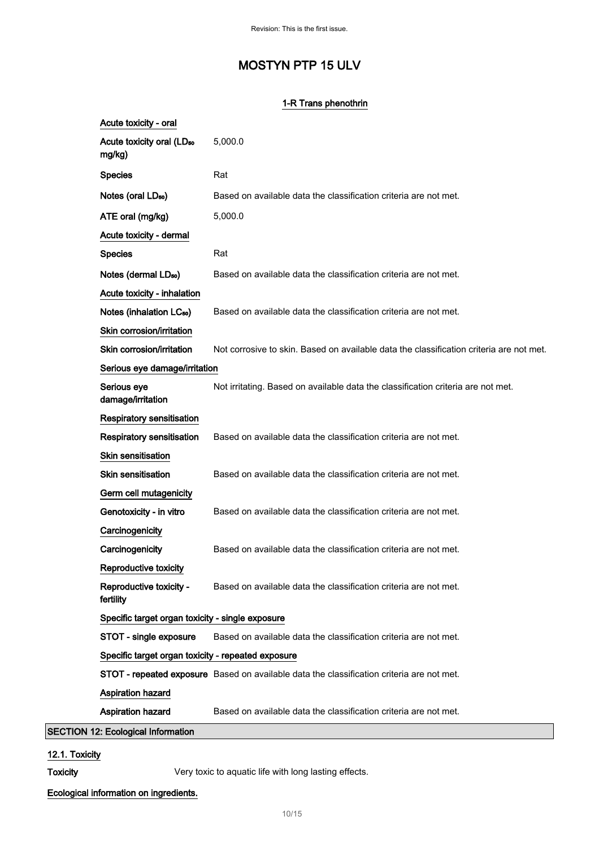### 1-R Trans phenothrin

| Acute toxicity - oral                              |                                                                                           |
|----------------------------------------------------|-------------------------------------------------------------------------------------------|
| Acute toxicity oral (LD <sub>50</sub><br>mg/kg)    | 5,000.0                                                                                   |
| <b>Species</b>                                     | Rat                                                                                       |
| Notes (oral LD <sub>50</sub> )                     | Based on available data the classification criteria are not met.                          |
| ATE oral (mg/kg)                                   | 5,000.0                                                                                   |
| Acute toxicity - dermal                            |                                                                                           |
| <b>Species</b>                                     | Rat                                                                                       |
| Notes (dermal LD <sub>50</sub> )                   | Based on available data the classification criteria are not met.                          |
| Acute toxicity - inhalation                        |                                                                                           |
| Notes (inhalation LC <sub>50</sub> )               | Based on available data the classification criteria are not met.                          |
| Skin corrosion/irritation                          |                                                                                           |
| Skin corrosion/irritation                          | Not corrosive to skin. Based on available data the classification criteria are not met.   |
| Serious eye damage/irritation                      |                                                                                           |
| Serious eye<br>damage/irritation                   | Not irritating. Based on available data the classification criteria are not met.          |
| <b>Respiratory sensitisation</b>                   |                                                                                           |
| Respiratory sensitisation                          | Based on available data the classification criteria are not met.                          |
| Skin sensitisation                                 |                                                                                           |
| <b>Skin sensitisation</b>                          | Based on available data the classification criteria are not met.                          |
| Germ cell mutagenicity                             |                                                                                           |
| Genotoxicity - in vitro                            | Based on available data the classification criteria are not met.                          |
| Carcinogenicity                                    |                                                                                           |
| Carcinogenicity                                    | Based on available data the classification criteria are not met.                          |
| Reproductive toxicity                              |                                                                                           |
| Reproductive toxicity -<br>fertility               | Based on available data the classification criteria are not met.                          |
| Specific target organ toxicity - single exposure   |                                                                                           |
| STOT - single exposure                             | Based on available data the classification criteria are not met.                          |
| Specific target organ toxicity - repeated exposure |                                                                                           |
|                                                    | STOT - repeated exposure Based on available data the classification criteria are not met. |
| Aspiration hazard                                  |                                                                                           |
| Aspiration hazard                                  | Based on available data the classification criteria are not met.                          |
| <b>SECTION 12: Ecological Information</b>          |                                                                                           |

### 12.1. Toxicity

Toxicity **Very toxic to aquatic life with long lasting effects.** 

Ecological information on ingredients.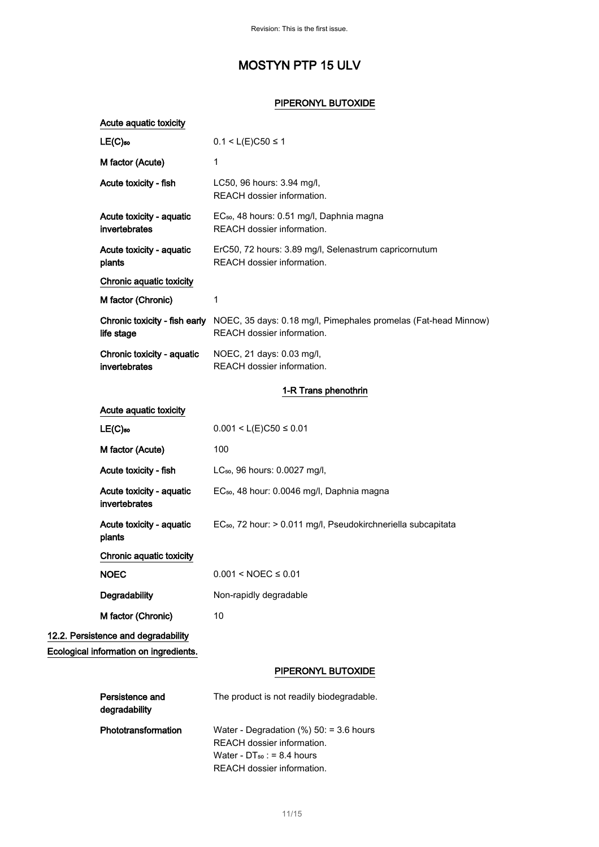#### PIPERONYL BUTOXIDE

| Acute aquatic toxicity                      |                                                                                                                                           |
|---------------------------------------------|-------------------------------------------------------------------------------------------------------------------------------------------|
| $LE(C)$ 50                                  | $0.1 < L(E)$ C50 ≤ 1                                                                                                                      |
| M factor (Acute)                            | 1                                                                                                                                         |
| Acute toxicity - fish                       | LC50, 96 hours: 3.94 mg/l,<br>REACH dossier information.                                                                                  |
| Acute toxicity - aquatic<br>invertebrates   | EC <sub>50</sub> , 48 hours: 0.51 mg/l, Daphnia magna<br>REACH dossier information.                                                       |
| Acute toxicity - aquatic<br>plants          | ErC50, 72 hours: 3.89 mg/l, Selenastrum capricornutum<br>REACH dossier information.                                                       |
| Chronic aquatic toxicity                    |                                                                                                                                           |
| M factor (Chronic)                          | 1                                                                                                                                         |
| Chronic toxicity - fish early<br>life stage | NOEC, 35 days: 0.18 mg/l, Pimephales promelas (Fat-head Minnow)<br>REACH dossier information.                                             |
| Chronic toxicity - aquatic<br>invertebrates | NOEC, 21 days: 0.03 mg/l,<br>REACH dossier information.                                                                                   |
|                                             | 1-R Trans phenothrin                                                                                                                      |
| Acute aquatic toxicity                      |                                                                                                                                           |
| $LE(C)$ <sub>50</sub>                       | $0.001 < L(E)C50 \le 0.01$                                                                                                                |
| M factor (Acute)                            | 100                                                                                                                                       |
| Acute toxicity - fish                       | LC <sub>50</sub> , 96 hours: 0.0027 mg/l,                                                                                                 |
| Acute toxicity - aquatic<br>invertebrates   | EC <sub>50</sub> , 48 hour: 0.0046 mg/l, Daphnia magna                                                                                    |
| Acute toxicity - aquatic<br>plants          | EC <sub>50</sub> , 72 hour: > 0.011 mg/l, Pseudokirchneriella subcapitata                                                                 |
| Chronic aquatic toxicity                    |                                                                                                                                           |
| <b>NOEC</b>                                 | $0.001 < NOEC \le 0.01$                                                                                                                   |
| Degradability                               | Non-rapidly degradable                                                                                                                    |
| M factor (Chronic)                          | 10                                                                                                                                        |
| 12.2. Persistence and degradability         |                                                                                                                                           |
| Ecological information on ingredients.      |                                                                                                                                           |
|                                             | PIPERONYL BUTOXIDE                                                                                                                        |
| Persistence and<br>degradability            | The product is not readily biodegradable.                                                                                                 |
| Phototransformation                         | Water - Degradation $(\%)$ 50: = 3.6 hours<br>REACH dossier information.<br>Water - $DT_{50}$ : = 8.4 hours<br>REACH dossier information. |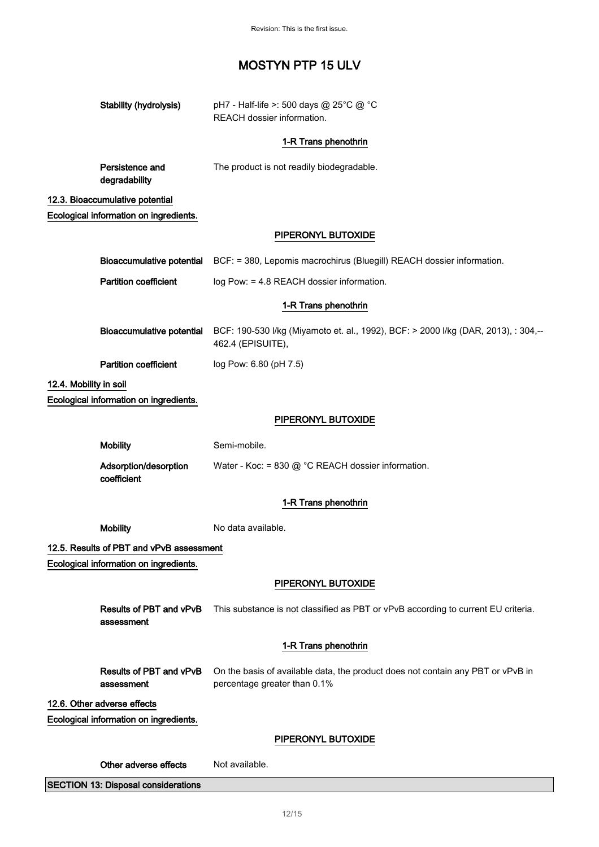Revision: This is the first issue.

|                        | Stability (hydrolysis)                     | pH7 - Half-life >: 500 days @ 25°C @ °C<br>REACH dossier information.                                           |
|------------------------|--------------------------------------------|-----------------------------------------------------------------------------------------------------------------|
|                        |                                            | 1-R Trans phenothrin                                                                                            |
|                        | Persistence and<br>degradability           | The product is not readily biodegradable.                                                                       |
|                        | 12.3. Bioaccumulative potential            |                                                                                                                 |
|                        | Ecological information on ingredients.     |                                                                                                                 |
|                        |                                            | PIPERONYL BUTOXIDE                                                                                              |
|                        |                                            | Bioaccumulative potential BCF: = 380, Lepomis macrochirus (Bluegill) REACH dossier information.                 |
|                        | <b>Partition coefficient</b>               | log Pow: = 4.8 REACH dossier information.                                                                       |
|                        |                                            | 1-R Trans phenothrin                                                                                            |
|                        | <b>Bioaccumulative potential</b>           | BCF: 190-530 I/kg (Miyamoto et. al., 1992), BCF: > 2000 I/kg (DAR, 2013), : 304,--<br>462.4 (EPISUITE),         |
|                        | <b>Partition coefficient</b>               | log Pow: 6.80 (pH 7.5)                                                                                          |
| 12.4. Mobility in soil |                                            |                                                                                                                 |
|                        | Ecological information on ingredients.     |                                                                                                                 |
|                        |                                            | PIPERONYL BUTOXIDE                                                                                              |
|                        | <b>Mobility</b>                            | Semi-mobile.                                                                                                    |
|                        | Adsorption/desorption<br>coefficient       | Water - Koc: = 830 @ °C REACH dossier information.                                                              |
|                        |                                            | 1-R Trans phenothrin                                                                                            |
|                        | <b>Mobility</b>                            | No data available.                                                                                              |
|                        | 12.5. Results of PBT and vPvB assessment   |                                                                                                                 |
|                        | Ecological information on ingredients.     |                                                                                                                 |
|                        |                                            | PIPERONYL BUTOXIDE                                                                                              |
|                        | Results of PBT and vPvB<br>assessment      | This substance is not classified as PBT or vPvB according to current EU criteria.                               |
|                        |                                            | 1-R Trans phenothrin                                                                                            |
|                        | Results of PBT and vPvB<br>assessment      | On the basis of available data, the product does not contain any PBT or vPvB in<br>percentage greater than 0.1% |
|                        | 12.6. Other adverse effects                |                                                                                                                 |
|                        | Ecological information on ingredients.     |                                                                                                                 |
|                        |                                            | PIPERONYL BUTOXIDE                                                                                              |
|                        | Other adverse effects                      | Not available.                                                                                                  |
|                        | <b>SECTION 13: Disposal considerations</b> |                                                                                                                 |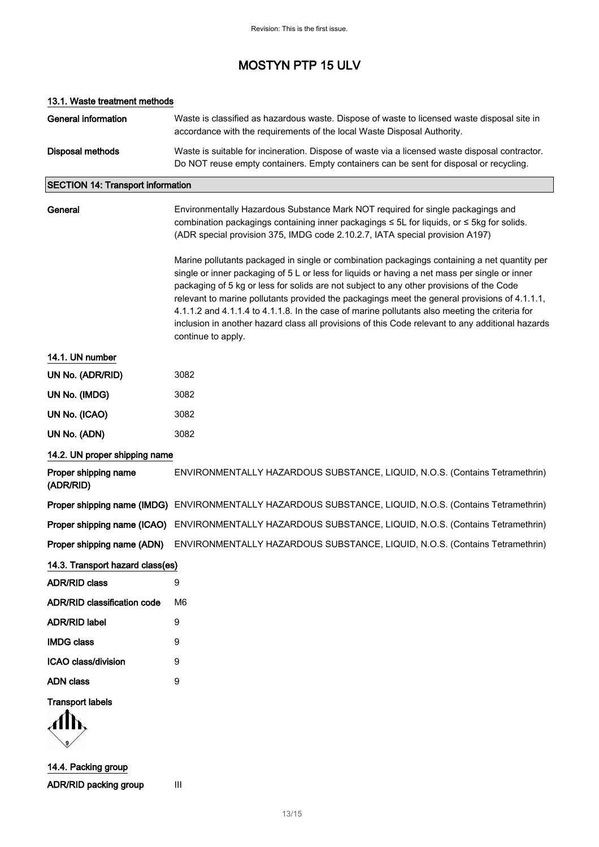### 13.1. Waste treatment methods

| <b>General information</b>               | Waste is classified as hazardous waste. Dispose of waste to licensed waste disposal site in<br>accordance with the requirements of the local Waste Disposal Authority.                                                                                                                                                                                                                                                                                                                                                                                                                                                 |  |
|------------------------------------------|------------------------------------------------------------------------------------------------------------------------------------------------------------------------------------------------------------------------------------------------------------------------------------------------------------------------------------------------------------------------------------------------------------------------------------------------------------------------------------------------------------------------------------------------------------------------------------------------------------------------|--|
| <b>Disposal methods</b>                  | Waste is suitable for incineration. Dispose of waste via a licensed waste disposal contractor.<br>Do NOT reuse empty containers. Empty containers can be sent for disposal or recycling.                                                                                                                                                                                                                                                                                                                                                                                                                               |  |
| <b>SECTION 14: Transport information</b> |                                                                                                                                                                                                                                                                                                                                                                                                                                                                                                                                                                                                                        |  |
| General                                  | Environmentally Hazardous Substance Mark NOT required for single packagings and<br>combination packagings containing inner packagings ≤ 5L for liquids, or ≤ 5kg for solids.<br>(ADR special provision 375, IMDG code 2.10.2.7, IATA special provision A197)                                                                                                                                                                                                                                                                                                                                                           |  |
|                                          | Marine pollutants packaged in single or combination packagings containing a net quantity per<br>single or inner packaging of 5 L or less for liquids or having a net mass per single or inner<br>packaging of 5 kg or less for solids are not subject to any other provisions of the Code<br>relevant to marine pollutants provided the packagings meet the general provisions of 4.1.1.1,<br>4.1.1.2 and 4.1.1.4 to 4.1.1.8. In the case of marine pollutants also meeting the criteria for<br>inclusion in another hazard class all provisions of this Code relevant to any additional hazards<br>continue to apply. |  |
| 14.1. UN number                          |                                                                                                                                                                                                                                                                                                                                                                                                                                                                                                                                                                                                                        |  |
| UN No. (ADR/RID)                         | 3082                                                                                                                                                                                                                                                                                                                                                                                                                                                                                                                                                                                                                   |  |
| UN No. (IMDG)                            | 3082                                                                                                                                                                                                                                                                                                                                                                                                                                                                                                                                                                                                                   |  |
| UN No. (ICAO)                            | 3082                                                                                                                                                                                                                                                                                                                                                                                                                                                                                                                                                                                                                   |  |
| UN No. (ADN)                             | 3082                                                                                                                                                                                                                                                                                                                                                                                                                                                                                                                                                                                                                   |  |
| 14.2. UN proper shipping name            |                                                                                                                                                                                                                                                                                                                                                                                                                                                                                                                                                                                                                        |  |
| Proper shipping name<br>(ADR/RID)        | ENVIRONMENTALLY HAZARDOUS SUBSTANCE, LIQUID, N.O.S. (Contains Tetramethrin)                                                                                                                                                                                                                                                                                                                                                                                                                                                                                                                                            |  |
|                                          | Proper shipping name (IMDG) ENVIRONMENTALLY HAZARDOUS SUBSTANCE, LIQUID, N.O.S. (Contains Tetramethrin)                                                                                                                                                                                                                                                                                                                                                                                                                                                                                                                |  |
| Proper shipping name (ICAO)              | ENVIRONMENTALLY HAZARDOUS SUBSTANCE, LIQUID, N.O.S. (Contains Tetramethrin)                                                                                                                                                                                                                                                                                                                                                                                                                                                                                                                                            |  |
| Proper shipping name (ADN)               | ENVIRONMENTALLY HAZARDOUS SUBSTANCE, LIQUID, N.O.S. (Contains Tetramethrin)                                                                                                                                                                                                                                                                                                                                                                                                                                                                                                                                            |  |
| 14.3. Transport hazard class(es)         |                                                                                                                                                                                                                                                                                                                                                                                                                                                                                                                                                                                                                        |  |
| <b>ADR/RID class</b>                     | 9                                                                                                                                                                                                                                                                                                                                                                                                                                                                                                                                                                                                                      |  |
| <b>ADR/RID classification code</b>       | M <sub>6</sub>                                                                                                                                                                                                                                                                                                                                                                                                                                                                                                                                                                                                         |  |
| <b>ADR/RID label</b>                     | 9                                                                                                                                                                                                                                                                                                                                                                                                                                                                                                                                                                                                                      |  |
| <b>IMDG class</b>                        | 9                                                                                                                                                                                                                                                                                                                                                                                                                                                                                                                                                                                                                      |  |
| ICAO class/division                      | 9                                                                                                                                                                                                                                                                                                                                                                                                                                                                                                                                                                                                                      |  |
| <b>ADN class</b>                         | 9                                                                                                                                                                                                                                                                                                                                                                                                                                                                                                                                                                                                                      |  |
| <b>Transport labels</b>                  |                                                                                                                                                                                                                                                                                                                                                                                                                                                                                                                                                                                                                        |  |

 $\mathcal{A}$ h,  $\overline{\mathbf{3}}$ 

14.4. Packing group ADR/RID packing group III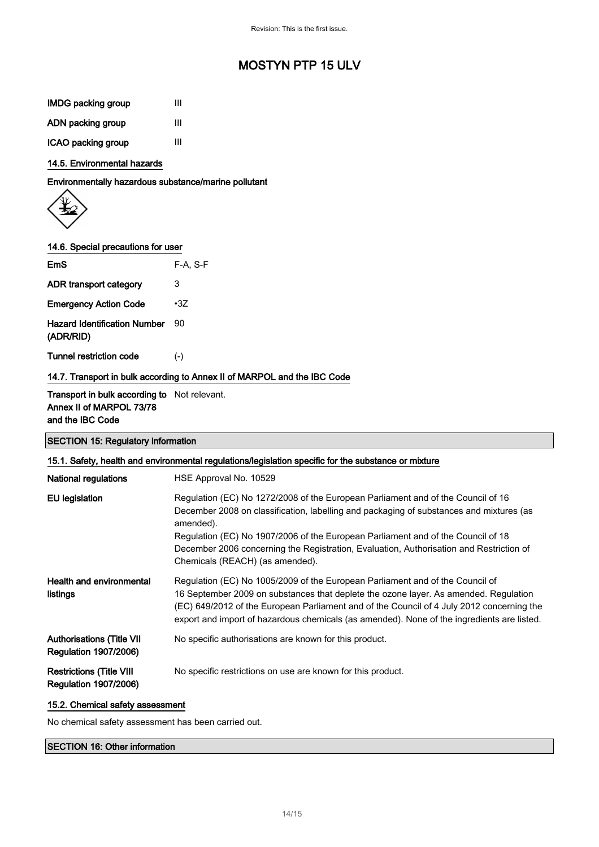| <b>IMDG packing group</b> | Ш |
|---------------------------|---|
| ADN packing group         | Ш |
| ICAO packing group        | Ш |

#### 14.5. Environmental hazards

Environmentally hazardous substance/marine pollutant

$$
\left\langle \bigoplus_{i=1}^n \right\rangle
$$

#### 14.6. Special precautions for user

| EmS                                              | $F-A. S-F$ |
|--------------------------------------------------|------------|
| ADR transport category                           | 3          |
| <b>Emergency Action Code</b>                     | $\cdot 37$ |
| <b>Hazard Identification Number</b><br>(ADR/RID) | 90         |
| Tunnel restriction code                          | $(-)$      |

#### 14.7. Transport in bulk according to Annex II of MARPOL and the IBC Code

#### Transport in bulk according to Not relevant. Annex II of MARPOL 73/78 and the IBC Code

### SECTION 15: Regulatory information

| 15.1. Safety, health and environmental regulations/legislation specific for the substance or mixture |                                                                                                                                                                                                                                                                                                                                                                                                            |  |
|------------------------------------------------------------------------------------------------------|------------------------------------------------------------------------------------------------------------------------------------------------------------------------------------------------------------------------------------------------------------------------------------------------------------------------------------------------------------------------------------------------------------|--|
| <b>National regulations</b>                                                                          | HSE Approval No. 10529                                                                                                                                                                                                                                                                                                                                                                                     |  |
| <b>EU</b> legislation                                                                                | Regulation (EC) No 1272/2008 of the European Parliament and of the Council of 16<br>December 2008 on classification, labelling and packaging of substances and mixtures (as<br>amended).<br>Regulation (EC) No 1907/2006 of the European Parliament and of the Council of 18<br>December 2006 concerning the Registration, Evaluation, Authorisation and Restriction of<br>Chemicals (REACH) (as amended). |  |
| <b>Health and environmental</b><br>listings                                                          | Regulation (EC) No 1005/2009 of the European Parliament and of the Council of<br>16 September 2009 on substances that deplete the ozone layer. As amended. Regulation<br>(EC) 649/2012 of the European Parliament and of the Council of 4 July 2012 concerning the<br>export and import of hazardous chemicals (as amended). None of the ingredients are listed.                                           |  |
| <b>Authorisations (Title VII</b><br><b>Regulation 1907/2006)</b>                                     | No specific authorisations are known for this product.                                                                                                                                                                                                                                                                                                                                                     |  |
| <b>Restrictions (Title VIII</b><br><b>Regulation 1907/2006)</b>                                      | No specific restrictions on use are known for this product.                                                                                                                                                                                                                                                                                                                                                |  |

#### 15.2. Chemical safety assessment

No chemical safety assessment has been carried out.

### SECTION 16: Other information